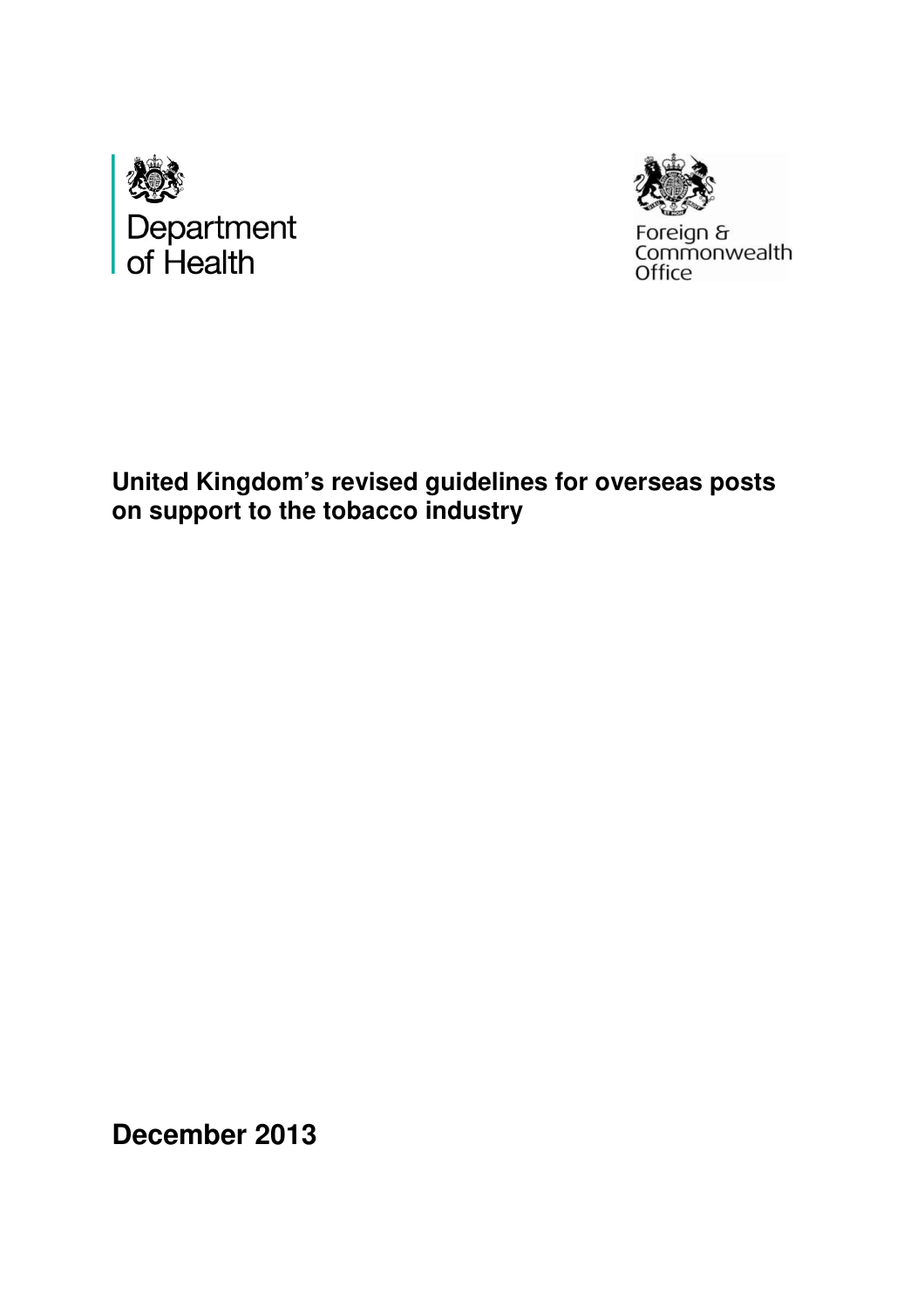



Foreign &<br>Commonwealth<br>Office

 **United Kingdom's revised guidelines for overseas posts on support to the tobacco industry** 

 **December 2013**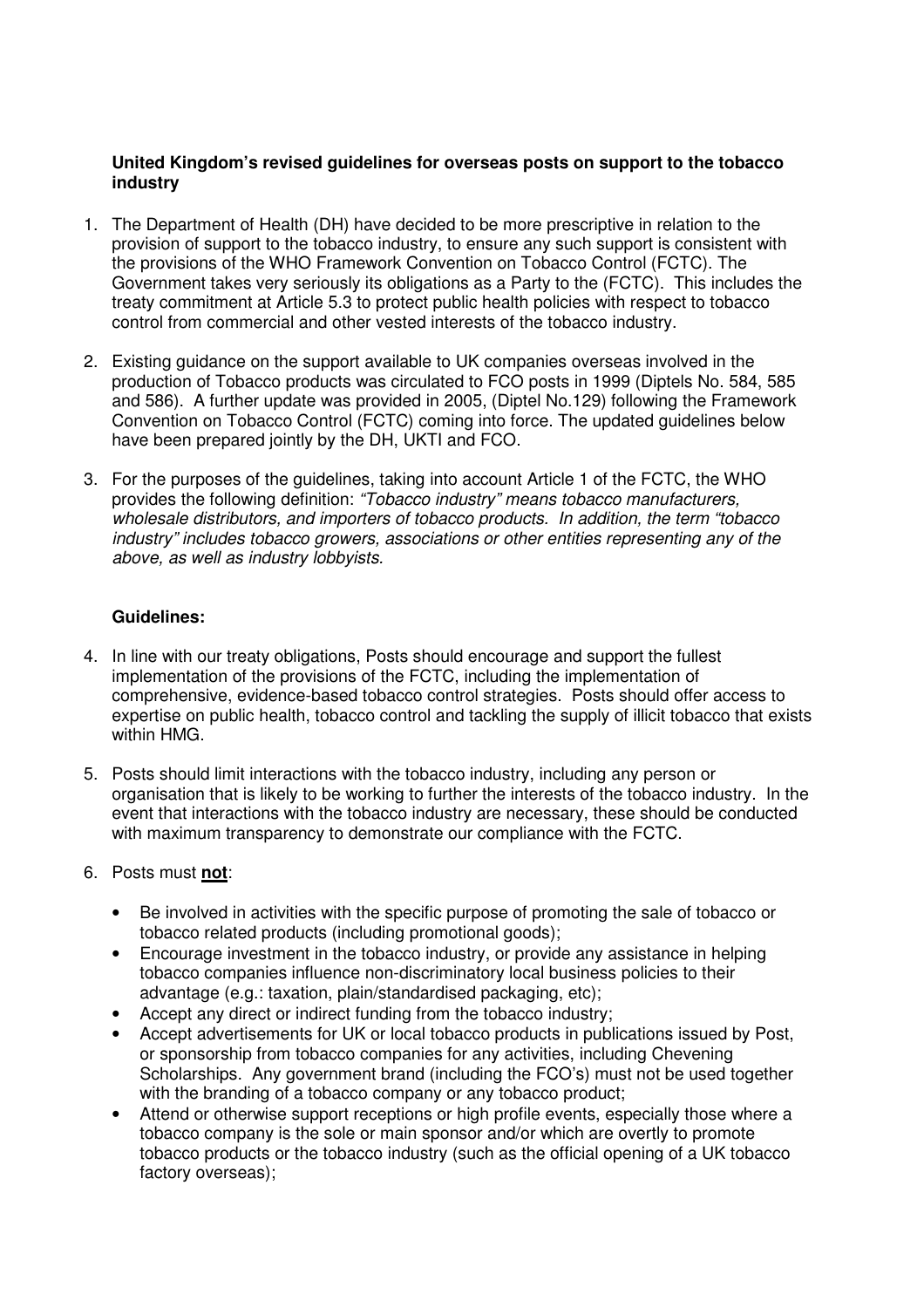## **United Kingdom's revised guidelines for overseas posts on support to the tobacco industry**

- 1. The Department of Health (DH) have decided to be more prescriptive in relation to the provision of support to the tobacco industry, to ensure any such support is consistent with the provisions of the WHO Framework Convention on Tobacco Control (FCTC). The Government takes very seriously its obligations as a Party to the (FCTC). This includes the treaty commitment at Article 5.3 to protect public health policies with respect to tobacco control from commercial and other vested interests of the tobacco industry.
- 2. Existing guidance on the support available to UK companies overseas involved in the production of Tobacco products was circulated to FCO posts in 1999 (Diptels No. 584, 585 and 586). A further update was provided in 2005, (Diptel No.129) following the Framework Convention on Tobacco Control (FCTC) coming into force. The updated guidelines below have been prepared jointly by the DH, UKTI and FCO.
- 3. For the purposes of the guidelines, taking into account Article 1 of the FCTC, the WHO provides the following definition: "Tobacco industry" means tobacco manufacturers, wholesale distributors, and importers of tobacco products. In addition, the term "tobacco industry" includes tobacco growers, associations or other entities representing any of the above, as well as industry lobbyists.

## **Guidelines:**

- 4. In line with our treaty obligations, Posts should encourage and support the fullest implementation of the provisions of the FCTC, including the implementation of comprehensive, evidence-based tobacco control strategies. Posts should offer access to expertise on public health, tobacco control and tackling the supply of illicit tobacco that exists within HMG.
- 5. Posts should limit interactions with the tobacco industry, including any person or organisation that is likely to be working to further the interests of the tobacco industry. In the event that interactions with the tobacco industry are necessary, these should be conducted with maximum transparency to demonstrate our compliance with the FCTC.
- 6. Posts must **not**:
	- $\bullet$  tobacco related products (including promotional goods); Be involved in activities with the specific purpose of promoting the sale of tobacco or
	- Encourage investment in the tobacco industry, or provide any assistance in helping tobacco companies influence non-discriminatory local business policies to their advantage (e.g.: taxation, plain/standardised packaging, etc);
	- • Accept any direct or indirect funding from the tobacco industry;
	- Accept advertisements for UK or local tobacco products in publications issued by Post, or sponsorship from tobacco companies for any activities, including Chevening Scholarships. Any government brand (including the FCO's) must not be used together with the branding of a tobacco company or any tobacco product;
	- tobacco company is the sole or main sponsor and/or which are overtly to promote tobacco products or the tobacco industry (such as the official opening of a UK tobacco factory overseas); Attend or otherwise support receptions or high profile events, especially those where a